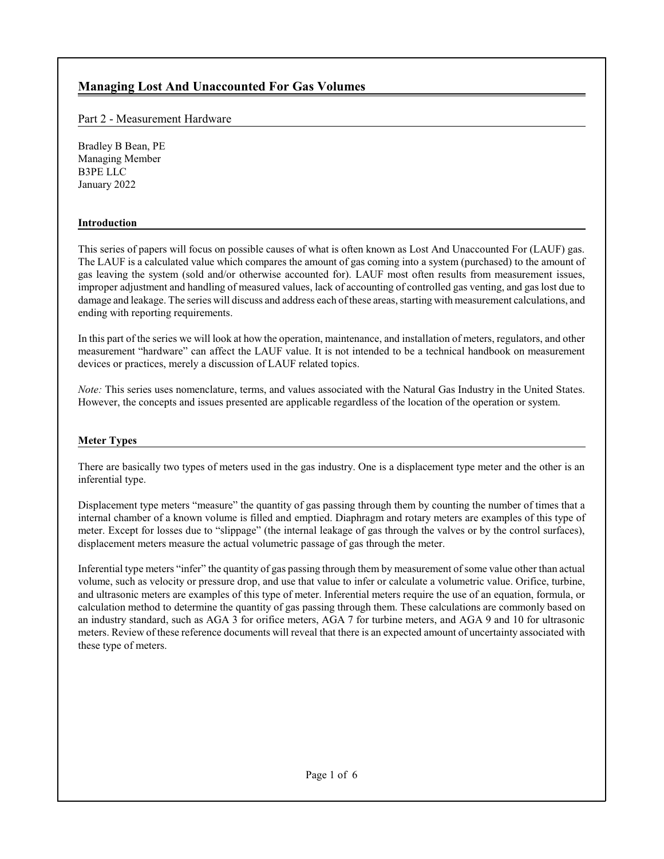# **Managing Lost And Unaccounted For Gas Volumes**

# Part 2 - Measurement Hardware

Bradley B Bean, PE Managing Member B3PE LLC January 2022

### **Introduction**

This series of papers will focus on possible causes of what is often known as Lost And Unaccounted For (LAUF) gas. The LAUF is a calculated value which compares the amount of gas coming into a system (purchased) to the amount of gas leaving the system (sold and/or otherwise accounted for). LAUF most often results from measurement issues, improper adjustment and handling of measured values, lack of accounting of controlled gas venting, and gas lost due to damage and leakage. The series will discuss and address each ofthese areas, starting with measurement calculations, and ending with reporting requirements.

In this part of the series we will look at how the operation, maintenance, and installation of meters, regulators, and other measurement "hardware" can affect the LAUF value. It is not intended to be a technical handbook on measurement devices or practices, merely a discussion of LAUF related topics.

*Note:* This series uses nomenclature, terms, and values associated with the Natural Gas Industry in the United States. However, the concepts and issues presented are applicable regardless of the location of the operation or system.

#### **Meter Types**

There are basically two types of meters used in the gas industry. One is a displacement type meter and the other is an inferential type.

Displacement type meters "measure" the quantity of gas passing through them by counting the number of times that a internal chamber of a known volume is filled and emptied. Diaphragm and rotary meters are examples of this type of meter. Except for losses due to "slippage" (the internal leakage of gas through the valves or by the control surfaces), displacement meters measure the actual volumetric passage of gas through the meter.

Inferential type meters "infer" the quantity of gas passing through them by measurement of some value other than actual volume, such as velocity or pressure drop, and use that value to infer or calculate a volumetric value. Orifice, turbine, and ultrasonic meters are examples of this type of meter. Inferential meters require the use of an equation, formula, or calculation method to determine the quantity of gas passing through them. These calculations are commonly based on an industry standard, such as AGA 3 for orifice meters, AGA 7 for turbine meters, and AGA 9 and 10 for ultrasonic meters. Review of these reference documents will reveal that there is an expected amount of uncertainty associated with these type of meters.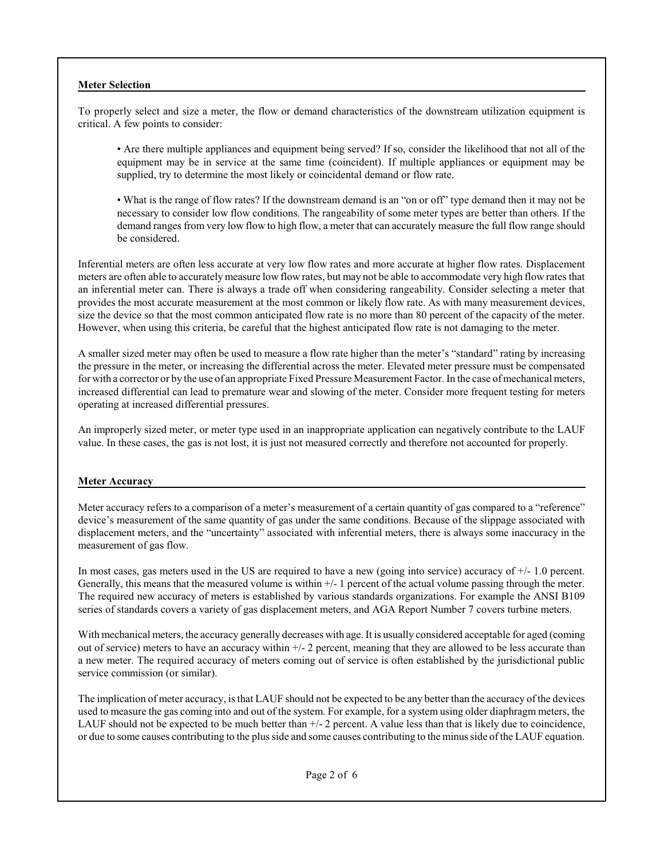### **Meter Selection**

To properly select and size a meter, the flow or demand characteristics of the downstream utilization equipment is critical. A few points to consider:

• Are there multiple appliances and equipment being served? If so, consider the likelihood that not all of the equipment may be in service at the same time (coincident). If multiple appliances or equipment may be supplied, try to determine the most likely or coincidental demand or flow rate.

• What is the range of flow rates? If the downstream demand is an "on or off" type demand then it may not be necessary to consider low flow conditions. The rangeability of some meter types are better than others. If the demand ranges from very low flow to high flow, a meter that can accurately measure the full flow range should be considered.

Inferential meters are often less accurate at very low flow rates and more accurate at higher flow rates. Displacement meters are often able to accurately measure low flow rates, but may not be able to accommodate very high flow rates that an inferential meter can. There is always a trade off when considering rangeability. Consider selecting a meter that provides the most accurate measurement at the most common or likely flow rate. As with many measurement devices, size the device so that the most common anticipated flow rate is no more than 80 percent of the capacity of the meter. However, when using this criteria, be careful that the highest anticipated flow rate is not damaging to the meter.

A smaller sized meter may often be used to measure a flow rate higher than the meter's "standard" rating by increasing the pressure in the meter, or increasing the differential across the meter. Elevated meter pressure must be compensated for with a corrector or by the use of an appropriate Fixed Pressure Measurement Factor. In the case of mechanical meters, increased differential can lead to premature wear and slowing of the meter. Consider more frequent testing for meters operating at increased differential pressures.

An improperly sized meter, or meter type used in an inappropriate application can negatively contribute to the LAUF value. In these cases, the gas is not lost, it is just not measured correctly and therefore not accounted for properly.

### **Meter Accuracy**

Meter accuracy refers to a comparison of a meter's measurement of a certain quantity of gas compared to a "reference" device's measurement of the same quantity of gas under the same conditions. Because of the slippage associated with displacement meters, and the "uncertainty" associated with inferential meters, there is always some inaccuracy in the measurement of gas flow.

In most cases, gas meters used in the US are required to have a new (going into service) accuracy of  $+/-1.0$  percent. Generally, this means that the measured volume is within +/- 1 percent of the actual volume passing through the meter. The required new accuracy of meters is established by various standards organizations. For example the ANSI B109 series of standards covers a variety of gas displacement meters, and AGA Report Number 7 covers turbine meters.

With mechanical meters, the accuracy generally decreases with age. It is usually considered acceptable for aged (coming out of service) meters to have an accuracy within  $+/-2$  percent, meaning that they are allowed to be less accurate than a new meter. The required accuracy of meters coming out of service is often established by the jurisdictional public service commission (or similar).

The implication of meter accuracy, is that LAUF should not be expected to be any better than the accuracy of the devices used to measure the gas coming into and out of the system. For example, for a system using older diaphragm meters, the LAUF should not be expected to be much better than +/- 2 percent. A value less than that is likely due to coincidence, or due to some causes contributing to the plus side and some causes contributing to the minus side ofthe LAUF equation.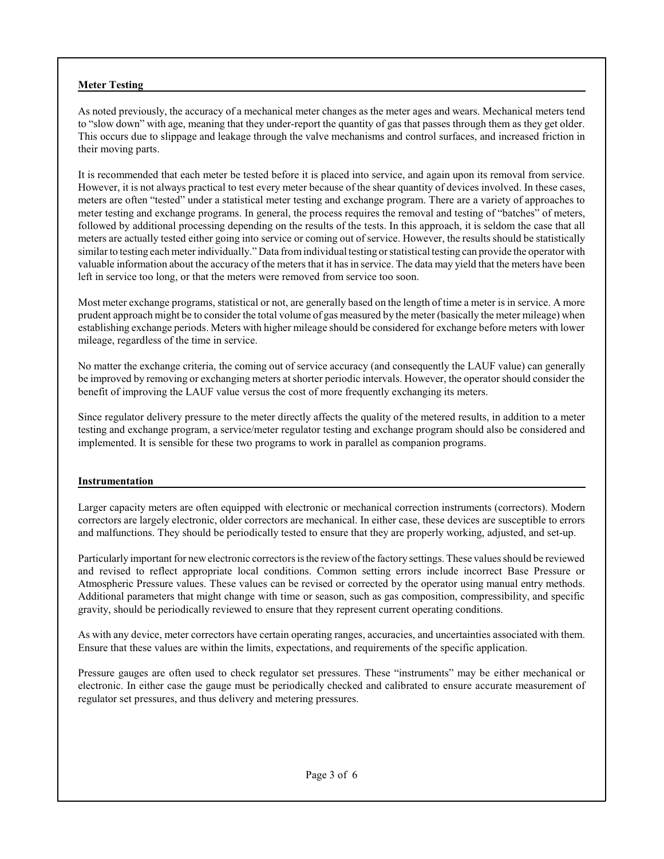### **Meter Testing**

As noted previously, the accuracy of a mechanical meter changes as the meter ages and wears. Mechanical meters tend to "slow down" with age, meaning that they under-report the quantity of gas that passes through them as they get older. This occurs due to slippage and leakage through the valve mechanisms and control surfaces, and increased friction in their moving parts.

It is recommended that each meter be tested before it is placed into service, and again upon its removal from service. However, it is not always practical to test every meter because of the shear quantity of devices involved. In these cases, meters are often "tested" under a statistical meter testing and exchange program. There are a variety of approaches to meter testing and exchange programs. In general, the process requires the removal and testing of "batches" of meters, followed by additional processing depending on the results of the tests. In this approach, it is seldom the case that all meters are actually tested either going into service or coming out of service. However, the results should be statistically similar to testing each meter individually." Data fromindividual testing or statistical testing can provide the operator with valuable information about the accuracy of the meters that it has in service. The data may yield that the meters have been left in service too long, or that the meters were removed from service too soon.

Most meter exchange programs, statistical or not, are generally based on the length of time a meter is in service. A more prudent approach might be to consider the total volume of gas measured by the meter (basically the meter mileage) when establishing exchange periods. Meters with higher mileage should be considered for exchange before meters with lower mileage, regardless of the time in service.

No matter the exchange criteria, the coming out of service accuracy (and consequently the LAUF value) can generally be improved by removing or exchanging meters at shorter periodic intervals. However, the operator should consider the benefit of improving the LAUF value versus the cost of more frequently exchanging its meters.

Since regulator delivery pressure to the meter directly affects the quality of the metered results, in addition to a meter testing and exchange program, a service/meter regulator testing and exchange program should also be considered and implemented. It is sensible for these two programs to work in parallel as companion programs.

#### **Instrumentation**

Larger capacity meters are often equipped with electronic or mechanical correction instruments (correctors). Modern correctors are largely electronic, older correctors are mechanical. In either case, these devices are susceptible to errors and malfunctions. They should be periodically tested to ensure that they are properly working, adjusted, and set-up.

Particularly important for newelectronic correctors is the reviewofthe factory settings. These values should be reviewed and revised to reflect appropriate local conditions. Common setting errors include incorrect Base Pressure or Atmospheric Pressure values. These values can be revised or corrected by the operator using manual entry methods. Additional parameters that might change with time or season, such as gas composition, compressibility, and specific gravity, should be periodically reviewed to ensure that they represent current operating conditions.

As with any device, meter correctors have certain operating ranges, accuracies, and uncertainties associated with them. Ensure that these values are within the limits, expectations, and requirements of the specific application.

Pressure gauges are often used to check regulator set pressures. These "instruments" may be either mechanical or electronic. In either case the gauge must be periodically checked and calibrated to ensure accurate measurement of regulator set pressures, and thus delivery and metering pressures.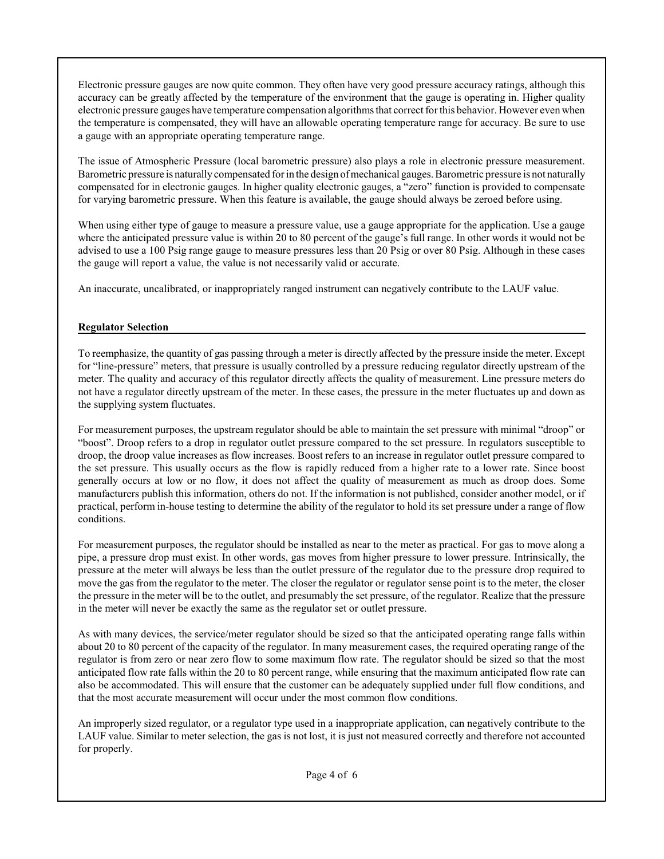Electronic pressure gauges are now quite common. They often have very good pressure accuracy ratings, although this accuracy can be greatly affected by the temperature of the environment that the gauge is operating in. Higher quality electronic pressure gauges have temperature compensation algorithms that correct for this behavior. However even when the temperature is compensated, they will have an allowable operating temperature range for accuracy. Be sure to use a gauge with an appropriate operating temperature range.

The issue of Atmospheric Pressure (local barometric pressure) also plays a role in electronic pressure measurement. Barometric pressure is naturally compensated for in the design ofmechanical gauges. Barometric pressure is not naturally compensated for in electronic gauges. In higher quality electronic gauges, a "zero" function is provided to compensate for varying barometric pressure. When this feature is available, the gauge should always be zeroed before using.

When using either type of gauge to measure a pressure value, use a gauge appropriate for the application. Use a gauge where the anticipated pressure value is within 20 to 80 percent of the gauge's full range. In other words it would not be advised to use a 100 Psig range gauge to measure pressures less than 20 Psig or over 80 Psig. Although in these cases the gauge will report a value, the value is not necessarily valid or accurate.

An inaccurate, uncalibrated, or inappropriately ranged instrument can negatively contribute to the LAUF value.

# **Regulator Selection**

To reemphasize, the quantity of gas passing through a meter is directly affected by the pressure inside the meter. Except for "line-pressure" meters, that pressure is usually controlled by a pressure reducing regulator directly upstream of the meter. The quality and accuracy of this regulator directly affects the quality of measurement. Line pressure meters do not have a regulator directly upstream of the meter. In these cases, the pressure in the meter fluctuates up and down as the supplying system fluctuates.

For measurement purposes, the upstream regulator should be able to maintain the set pressure with minimal "droop" or "boost". Droop refers to a drop in regulator outlet pressure compared to the set pressure. In regulators susceptible to droop, the droop value increases as flow increases. Boost refers to an increase in regulator outlet pressure compared to the set pressure. This usually occurs as the flow is rapidly reduced from a higher rate to a lower rate. Since boost generally occurs at low or no flow, it does not affect the quality of measurement as much as droop does. Some manufacturers publish this information, others do not. If the information is not published, consider another model, or if practical, perform in-house testing to determine the ability of the regulator to hold its set pressure under a range of flow conditions.

For measurement purposes, the regulator should be installed as near to the meter as practical. For gas to move along a pipe, a pressure drop must exist. In other words, gas moves from higher pressure to lower pressure. Intrinsically, the pressure at the meter will always be less than the outlet pressure of the regulator due to the pressure drop required to move the gas from the regulator to the meter. The closer the regulator or regulator sense point is to the meter, the closer the pressure in the meter will be to the outlet, and presumably the set pressure, of the regulator. Realize that the pressure in the meter will never be exactly the same as the regulator set or outlet pressure.

As with many devices, the service/meter regulator should be sized so that the anticipated operating range falls within about 20 to 80 percent of the capacity of the regulator. In many measurement cases, the required operating range of the regulator is from zero or near zero flow to some maximum flow rate. The regulator should be sized so that the most anticipated flow rate falls within the 20 to 80 percent range, while ensuring that the maximum anticipated flow rate can also be accommodated. This will ensure that the customer can be adequately supplied under full flow conditions, and that the most accurate measurement will occur under the most common flow conditions.

An improperly sized regulator, or a regulator type used in a inappropriate application, can negatively contribute to the LAUF value. Similar to meter selection, the gas is not lost, it is just not measured correctly and therefore not accounted for properly.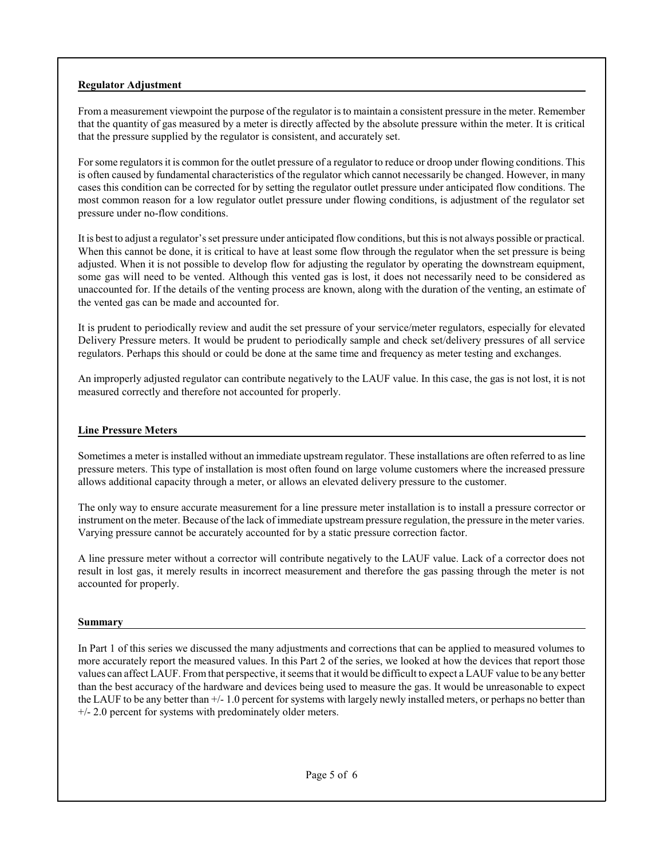### **Regulator Adjustment**

From a measurement viewpoint the purpose of the regulator is to maintain a consistent pressure in the meter. Remember that the quantity of gas measured by a meter is directly affected by the absolute pressure within the meter. It is critical that the pressure supplied by the regulator is consistent, and accurately set.

For some regulators it is common for the outlet pressure of a regulator to reduce or droop under flowing conditions. This is often caused by fundamental characteristics of the regulator which cannot necessarily be changed. However, in many cases this condition can be corrected for by setting the regulator outlet pressure under anticipated flow conditions. The most common reason for a low regulator outlet pressure under flowing conditions, is adjustment of the regulator set pressure under no-flow conditions.

It is best to adjust a regulator's set pressure under anticipated flow conditions, but thisis not always possible or practical. When this cannot be done, it is critical to have at least some flow through the regulator when the set pressure is being adjusted. When it is not possible to develop flow for adjusting the regulator by operating the downstream equipment, some gas will need to be vented. Although this vented gas is lost, it does not necessarily need to be considered as unaccounted for. If the details of the venting process are known, along with the duration of the venting, an estimate of the vented gas can be made and accounted for.

It is prudent to periodically review and audit the set pressure of your service/meter regulators, especially for elevated Delivery Pressure meters. It would be prudent to periodically sample and check set/delivery pressures of all service regulators. Perhaps this should or could be done at the same time and frequency as meter testing and exchanges.

An improperly adjusted regulator can contribute negatively to the LAUF value. In this case, the gas is not lost, it is not measured correctly and therefore not accounted for properly.

### **Line Pressure Meters**

Sometimes a meter is installed without an immediate upstream regulator. These installations are often referred to as line pressure meters. This type of installation is most often found on large volume customers where the increased pressure allows additional capacity through a meter, or allows an elevated delivery pressure to the customer.

The only way to ensure accurate measurement for a line pressure meter installation is to install a pressure corrector or instrument on the meter. Because of the lack of immediate upstream pressure regulation, the pressure in the meter varies. Varying pressure cannot be accurately accounted for by a static pressure correction factor.

A line pressure meter without a corrector will contribute negatively to the LAUF value. Lack of a corrector does not result in lost gas, it merely results in incorrect measurement and therefore the gas passing through the meter is not accounted for properly.

#### **Summary**

In Part 1 of this series we discussed the many adjustments and corrections that can be applied to measured volumes to more accurately report the measured values. In this Part 2 of the series, we looked at how the devices that report those values can affect LAUF. Fromthat perspective, it seems that it would be difficult to expect a LAUF value to be any better than the best accuracy of the hardware and devices being used to measure the gas. It would be unreasonable to expect the LAUF to be any better than +/- 1.0 percent for systems with largely newly installed meters, or perhaps no better than +/- 2.0 percent for systems with predominately older meters.